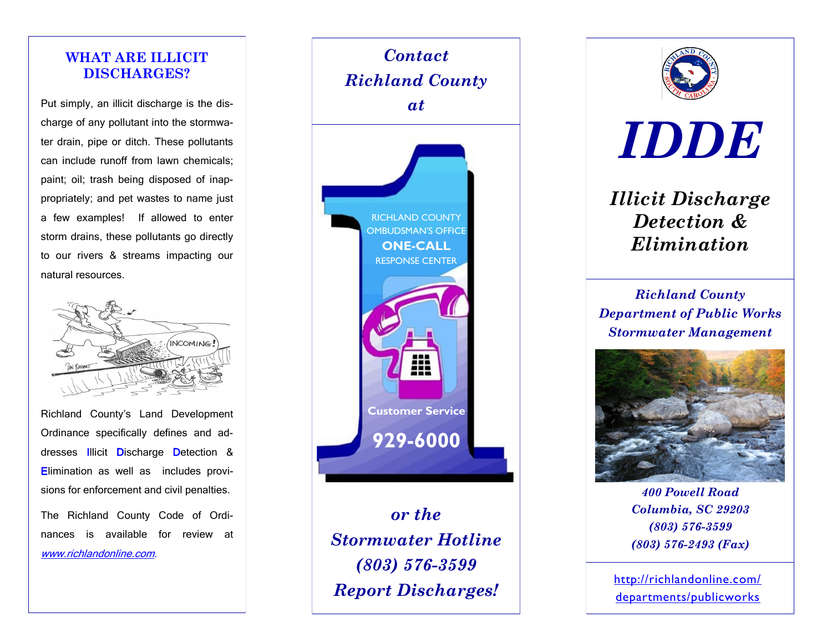## **WHAT ARE ILLICIT DISCHARGES?**

Put simply, an illicit discharge is the discharge of any pollutant into the stormwater drain, pipe or ditch. These pollutants can include runoff from lawn chemicals; paint; oil; trash being disposed of inappropriately; and pet wastes to name just a few examples! If allowed to enter storm drains, these pollutants go directly to our rivers & streams impacting our natural resources.



Richland County's Land Development Ordinance specifically defines and addresses Illicit Discharge Detection & Elimination as well as includes provisions for enforcement and civil penalties. The Richland County Code of Ordi-

nances is available for review at www.richlandonline.com.



*or the Stormwater Hotline (803) 576-3599 Report Discharges!*



*IDDE*

*Illicit Discharge Detection & Elimination*

*Richland County Department of Public Works Stormwater Management*



*400 Powell Road Columbia, SC 29203 (803) 576-3599 (803) 576-2493 (Fax)*

http://richlandonline.com/ departments/publicworks